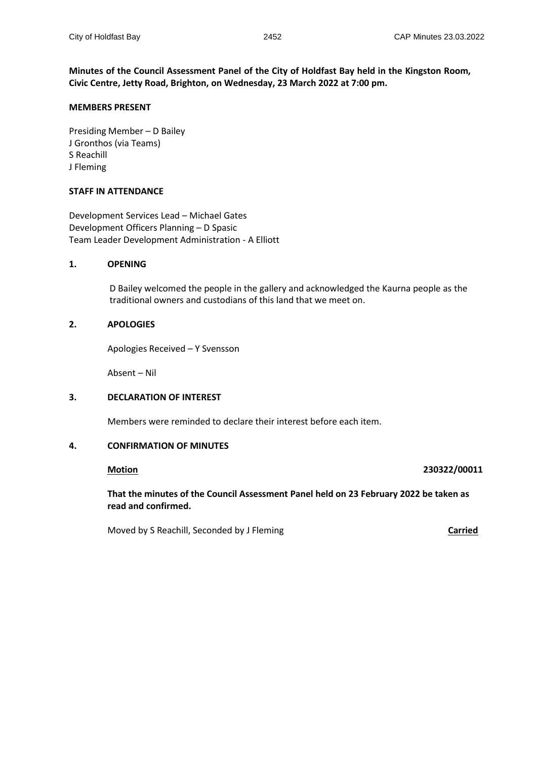**Minutes of the Council Assessment Panel of the City of Holdfast Bay held in the Kingston Room, Civic Centre, Jetty Road, Brighton, on Wednesday, 23 March 2022 at 7:00 pm.**

## **MEMBERS PRESENT**

Presiding Member – D Bailey J Gronthos (via Teams) S Reachill J Fleming

# **STAFF IN ATTENDANCE**

Development Services Lead – Michael Gates Development Officers Planning – D Spasic Team Leader Development Administration - A Elliott

# **1. OPENING**

D Bailey welcomed the people in the gallery and acknowledged the Kaurna people as the traditional owners and custodians of this land that we meet on.

# **2. APOLOGIES**

Apologies Received – Y Svensson

Absent – Nil

### **3. DECLARATION OF INTEREST**

Members were reminded to declare their interest before each item.

### **4. CONFIRMATION OF MINUTES**

### **Motion 230322/00011**

**That the minutes of the Council Assessment Panel held on 23 February 2022 be taken as read and confirmed.**

Moved by S Reachill, Seconded by J Fleming **Carried Carried**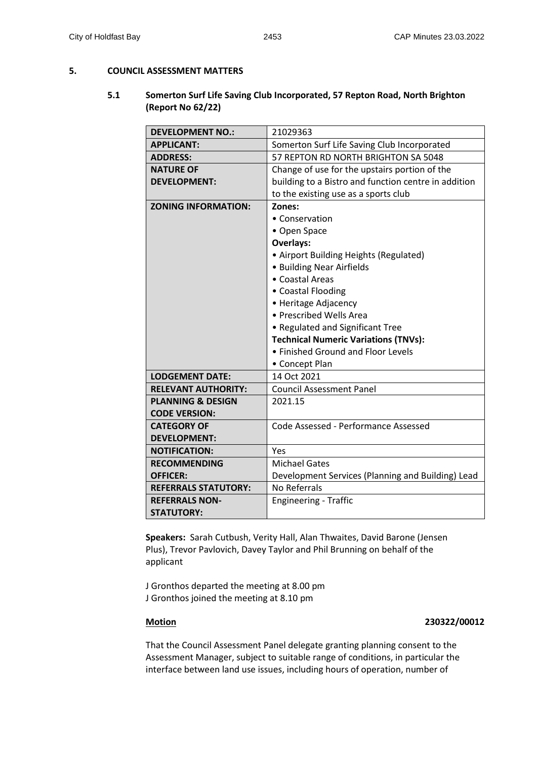# **5. COUNCIL ASSESSMENT MATTERS**

# **5.1 Somerton Surf Life Saving Club Incorporated, 57 Repton Road, North Brighton (Report No 62/22)**

| <b>DEVELOPMENT NO.:</b>      | 21029363                                             |  |
|------------------------------|------------------------------------------------------|--|
| <b>APPLICANT:</b>            | Somerton Surf Life Saving Club Incorporated          |  |
| <b>ADDRESS:</b>              | 57 REPTON RD NORTH BRIGHTON SA 5048                  |  |
| <b>NATURE OF</b>             | Change of use for the upstairs portion of the        |  |
| <b>DEVELOPMENT:</b>          | building to a Bistro and function centre in addition |  |
|                              | to the existing use as a sports club                 |  |
| <b>ZONING INFORMATION:</b>   | Zones:                                               |  |
|                              | • Conservation                                       |  |
|                              | • Open Space                                         |  |
|                              | <b>Overlays:</b>                                     |  |
|                              | • Airport Building Heights (Regulated)               |  |
|                              | • Building Near Airfields                            |  |
|                              | • Coastal Areas                                      |  |
|                              | • Coastal Flooding                                   |  |
|                              | • Heritage Adjacency                                 |  |
|                              | • Prescribed Wells Area                              |  |
|                              | • Regulated and Significant Tree                     |  |
|                              | <b>Technical Numeric Variations (TNVs):</b>          |  |
|                              | • Finished Ground and Floor Levels                   |  |
|                              | • Concept Plan                                       |  |
| <b>LODGEMENT DATE:</b>       | 14 Oct 2021                                          |  |
| <b>RELEVANT AUTHORITY:</b>   | <b>Council Assessment Panel</b>                      |  |
| <b>PLANNING &amp; DESIGN</b> | 2021.15                                              |  |
| <b>CODE VERSION:</b>         |                                                      |  |
| <b>CATEGORY OF</b>           | Code Assessed - Performance Assessed                 |  |
| <b>DEVELOPMENT:</b>          |                                                      |  |
| <b>NOTIFICATION:</b>         | Yes                                                  |  |
| <b>RECOMMENDING</b>          | <b>Michael Gates</b>                                 |  |
| <b>OFFICER:</b>              | Development Services (Planning and Building) Lead    |  |
| <b>REFERRALS STATUTORY:</b>  | <b>No Referrals</b>                                  |  |
| <b>REFERRALS NON-</b>        | <b>Engineering - Traffic</b>                         |  |
| <b>STATUTORY:</b>            |                                                      |  |

**Speakers:** Sarah Cutbush, Verity Hall, Alan Thwaites, David Barone (Jensen Plus), Trevor Pavlovich, Davey Taylor and Phil Brunning on behalf of the applicant

J Gronthos departed the meeting at 8.00 pm J Gronthos joined the meeting at 8.10 pm

# **Motion 230322/00012**

That the Council Assessment Panel delegate granting planning consent to the Assessment Manager, subject to suitable range of conditions, in particular the interface between land use issues, including hours of operation, number of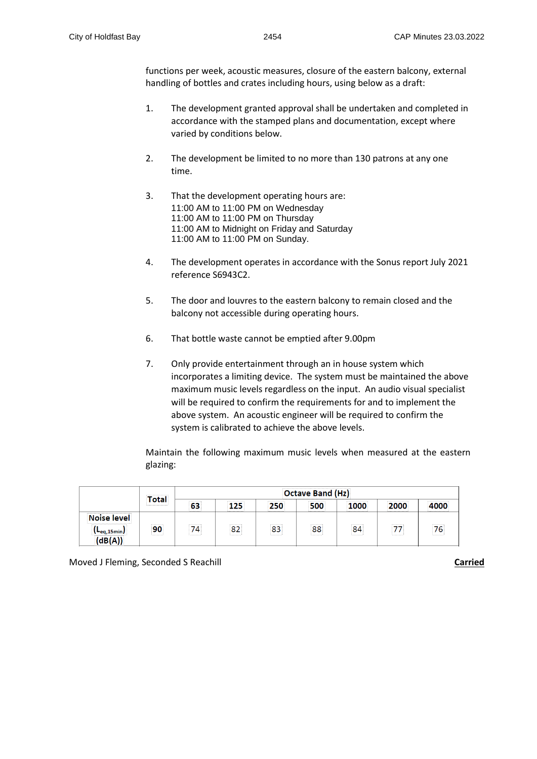functions per week, acoustic measures, closure of the eastern balcony, external handling of bottles and crates including hours, using below as a draft:

- 1. The development granted approval shall be undertaken and completed in accordance with the stamped plans and documentation, except where varied by conditions below.
- 2. The development be limited to no more than 130 patrons at any one time.
- 3. That the development operating hours are: 11:00 AM to 11:00 PM on Wednesday 11:00 AM to 11:00 PM on Thursday 11:00 AM to Midnight on Friday and Saturday 11:00 AM to 11:00 PM on Sunday.
- 4. The development operates in accordance with the Sonus report July 2021 reference S6943C2.
- 5. The door and louvres to the eastern balcony to remain closed and the balcony not accessible during operating hours.
- 6. That bottle waste cannot be emptied after 9.00pm
- 7. Only provide entertainment through an in house system which incorporates a limiting device. The system must be maintained the above maximum music levels regardless on the input. An audio visual specialist will be required to confirm the requirements for and to implement the above system. An acoustic engineer will be required to confirm the system is calibrated to achieve the above levels.

Maintain the following maximum music levels when measured at the eastern glazing:

|                   | *****************<br> | Octave Band (Hz)           |             |                            |              |       |                                             |                      |
|-------------------|-----------------------|----------------------------|-------------|----------------------------|--------------|-------|---------------------------------------------|----------------------|
|                   |                       | <br>                       | <b></b><br> | <b></b><br>------------    | <b></b><br>. | <br>  | <b>****************</b><br>---------------- | <br>---------------- |
| <br>loise level i | <br><b>ARRESTED</b>   | <br><b><i>Bassaner</i></b> | .<br>       | <br><b><i>BARRASSA</i></b> | <br>         | .<br> | <br><b>ARRESTED</b>                         | <br>1.1.1.1.1.1.1    |

Moved J Fleming, Seconded S Reachill **Carried**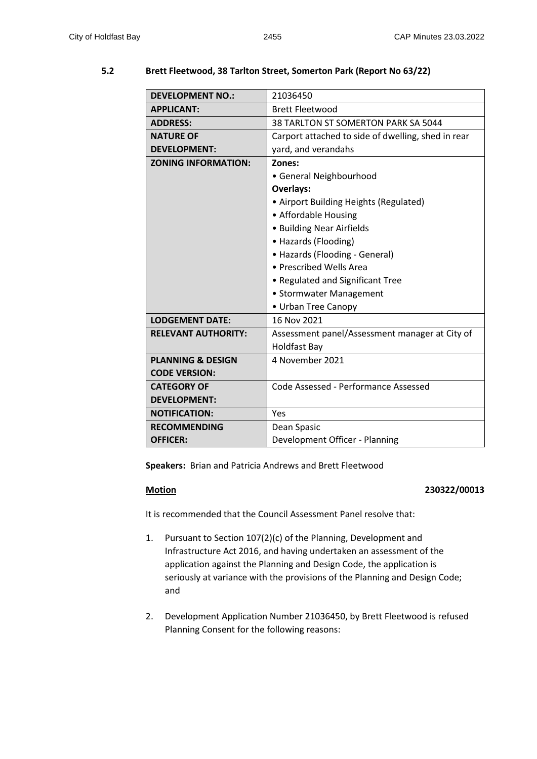# **DEVELOPMENT NO.:** 21036450 **APPLICANT:** Brett Fleetwood **ADDRESS:** 38 TARLTON ST SOMERTON PARK SA 5044 **NATURE OF DEVELOPMENT:** Carport attached to side of dwelling, shed in rear yard, and verandahs **ZONING INFORMATION: Zones:** • General Neighbourhood **Overlays:** • Airport Building Heights (Regulated) • Affordable Housing • Building Near Airfields • Hazards (Flooding) • Hazards (Flooding - General) • Prescribed Wells Area • Regulated and Significant Tree • Stormwater Management • Urban Tree Canopy **LODGEMENT DATE:** | 16 Nov 2021 **RELEVANT AUTHORITY:** Assessment panel/Assessment manager at City of Holdfast Bay **PLANNING & DESIGN CODE VERSION:** 4 November 2021 **CATEGORY OF DEVELOPMENT:** Code Assessed - Performance Assessed **NOTIFICATION:** Yes **RECOMMENDING OFFICER:** Dean Spasic Development Officer - Planning

# **5.2 Brett Fleetwood, 38 Tarlton Street, Somerton Park (Report No 63/22)**

**Speakers:** Brian and Patricia Andrews and Brett Fleetwood

# **Motion 230322/00013**

It is recommended that the Council Assessment Panel resolve that:

- 1. Pursuant to Section 107(2)(c) of the Planning, Development and Infrastructure Act 2016, and having undertaken an assessment of the application against the Planning and Design Code, the application is seriously at variance with the provisions of the Planning and Design Code; and
- 2. Development Application Number 21036450, by Brett Fleetwood is refused Planning Consent for the following reasons: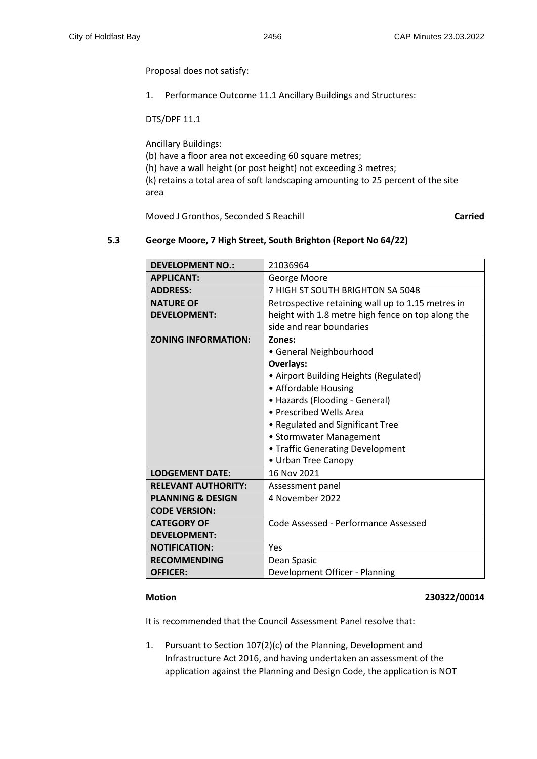Proposal does not satisfy:

1. Performance Outcome 11.1 Ancillary Buildings and Structures:

DTS/DPF 11.1

Ancillary Buildings: (b) have a floor area not exceeding 60 square metres; (h) have a wall height (or post height) not exceeding 3 metres; (k) retains a total area of soft landscaping amounting to 25 percent of the site area

Moved J Gronthos, Seconded S Reachill **Carried**

## **5.3 George Moore, 7 High Street, South Brighton (Report No 64/22)**

| <b>DEVELOPMENT NO.:</b>      | 21036964                                          |
|------------------------------|---------------------------------------------------|
| <b>APPLICANT:</b>            | George Moore                                      |
| <b>ADDRESS:</b>              | 7 HIGH ST SOUTH BRIGHTON SA 5048                  |
| <b>NATURE OF</b>             | Retrospective retaining wall up to 1.15 metres in |
| <b>DEVELOPMENT:</b>          | height with 1.8 metre high fence on top along the |
|                              | side and rear boundaries                          |
| <b>ZONING INFORMATION:</b>   | Zones:                                            |
|                              | • General Neighbourhood                           |
|                              | <b>Overlays:</b>                                  |
|                              | • Airport Building Heights (Regulated)            |
|                              | • Affordable Housing                              |
|                              | • Hazards (Flooding - General)                    |
|                              | • Prescribed Wells Area                           |
|                              | • Regulated and Significant Tree                  |
|                              | • Stormwater Management                           |
|                              | • Traffic Generating Development                  |
|                              | • Urban Tree Canopy                               |
| <b>LODGEMENT DATE:</b>       | 16 Nov 2021                                       |
| <b>RELEVANT AUTHORITY:</b>   | Assessment panel                                  |
| <b>PLANNING &amp; DESIGN</b> | 4 November 2022                                   |
| <b>CODE VERSION:</b>         |                                                   |
| <b>CATEGORY OF</b>           | Code Assessed - Performance Assessed              |
| <b>DEVELOPMENT:</b>          |                                                   |
| <b>NOTIFICATION:</b>         | Yes                                               |
| <b>RECOMMENDING</b>          | Dean Spasic                                       |
| <b>OFFICER:</b>              | Development Officer - Planning                    |

### **Motion 230322/00014**

It is recommended that the Council Assessment Panel resolve that:

1. Pursuant to Section 107(2)(c) of the Planning, Development and Infrastructure Act 2016, and having undertaken an assessment of the application against the Planning and Design Code, the application is NOT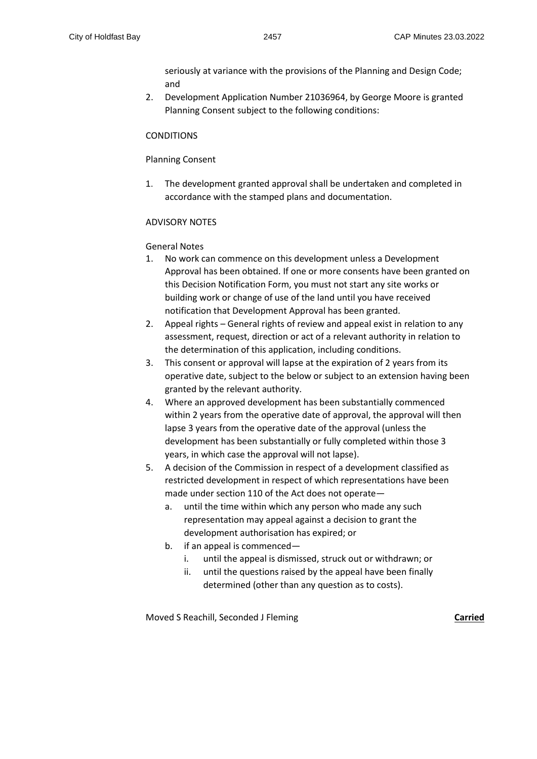seriously at variance with the provisions of the Planning and Design Code; and

2. Development Application Number 21036964, by George Moore is granted Planning Consent subject to the following conditions:

## **CONDITIONS**

### Planning Consent

1. The development granted approval shall be undertaken and completed in accordance with the stamped plans and documentation.

## ADVISORY NOTES

General Notes

- 1. No work can commence on this development unless a Development Approval has been obtained. If one or more consents have been granted on this Decision Notification Form, you must not start any site works or building work or change of use of the land until you have received notification that Development Approval has been granted.
- 2. Appeal rights General rights of review and appeal exist in relation to any assessment, request, direction or act of a relevant authority in relation to the determination of this application, including conditions.
- 3. This consent or approval will lapse at the expiration of 2 years from its operative date, subject to the below or subject to an extension having been granted by the relevant authority.
- 4. Where an approved development has been substantially commenced within 2 years from the operative date of approval, the approval will then lapse 3 years from the operative date of the approval (unless the development has been substantially or fully completed within those 3 years, in which case the approval will not lapse).
- 5. A decision of the Commission in respect of a development classified as restricted development in respect of which representations have been made under section 110 of the Act does not operate
	- a. until the time within which any person who made any such representation may appeal against a decision to grant the development authorisation has expired; or
	- b. if an appeal is commenced
		- i. until the appeal is dismissed, struck out or withdrawn; or
		- ii. until the questions raised by the appeal have been finally determined (other than any question as to costs).

Moved S Reachill, Seconded J Fleming **Carried**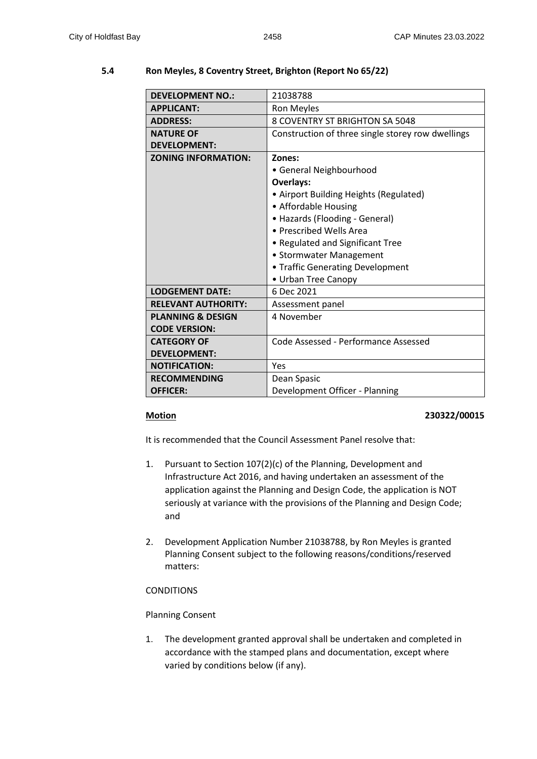### **DEVELOPMENT NO.:** 21038788 **APPLICANT:** Ron Meyles **ADDRESS:** 8 COVENTRY ST BRIGHTON SA 5048 **NATURE OF DEVELOPMENT:** Construction of three single storey row dwellings **ZONING INFORMATION: Zones:** • General Neighbourhood **Overlays:** • Airport Building Heights (Regulated) • Affordable Housing • Hazards (Flooding - General) • Prescribed Wells Area • Regulated and Significant Tree • Stormwater Management • Traffic Generating Development • Urban Tree Canopy **LODGEMENT DATE:** 6 Dec 2021 RELEVANT AUTHORITY: | Assessment panel **PLANNING & DESIGN CODE VERSION:** 4 November **CATEGORY OF DEVELOPMENT:** Code Assessed - Performance Assessed **NOTIFICATION:** Yes **RECOMMENDING OFFICER:** Dean Spasic Development Officer - Planning

# **5.4 Ron Meyles, 8 Coventry Street, Brighton (Report No 65/22)**

### **Motion 230322/00015**

It is recommended that the Council Assessment Panel resolve that:

- 1. Pursuant to Section 107(2)(c) of the Planning, Development and Infrastructure Act 2016, and having undertaken an assessment of the application against the Planning and Design Code, the application is NOT seriously at variance with the provisions of the Planning and Design Code; and
- 2. Development Application Number 21038788, by Ron Meyles is granted Planning Consent subject to the following reasons/conditions/reserved matters:

# **CONDITIONS**

# Planning Consent

1. The development granted approval shall be undertaken and completed in accordance with the stamped plans and documentation, except where varied by conditions below (if any).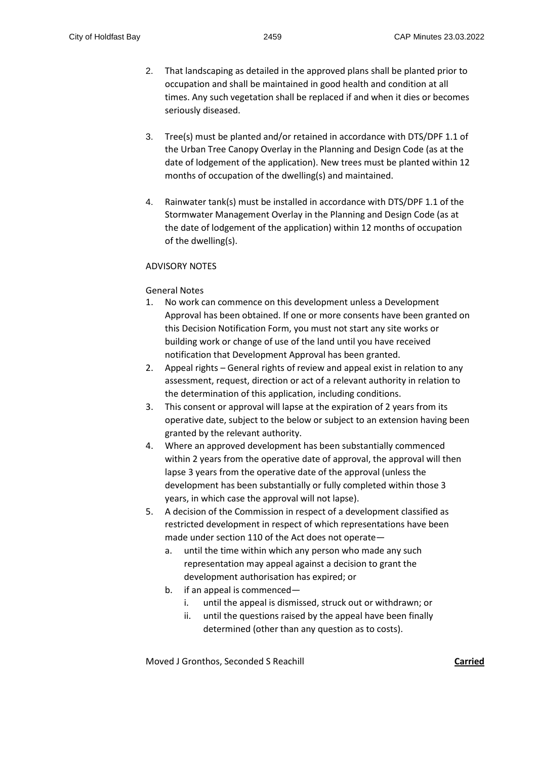- 2. That landscaping as detailed in the approved plans shall be planted prior to occupation and shall be maintained in good health and condition at all times. Any such vegetation shall be replaced if and when it dies or becomes seriously diseased.
- 3. Tree(s) must be planted and/or retained in accordance with DTS/DPF 1.1 of the Urban Tree Canopy Overlay in the Planning and Design Code (as at the date of lodgement of the application). New trees must be planted within 12 months of occupation of the dwelling(s) and maintained.
- 4. Rainwater tank(s) must be installed in accordance with DTS/DPF 1.1 of the Stormwater Management Overlay in the Planning and Design Code (as at the date of lodgement of the application) within 12 months of occupation of the dwelling(s).

## ADVISORY NOTES

## General Notes

- 1. No work can commence on this development unless a Development Approval has been obtained. If one or more consents have been granted on this Decision Notification Form, you must not start any site works or building work or change of use of the land until you have received notification that Development Approval has been granted.
- 2. Appeal rights General rights of review and appeal exist in relation to any assessment, request, direction or act of a relevant authority in relation to the determination of this application, including conditions.
- 3. This consent or approval will lapse at the expiration of 2 years from its operative date, subject to the below or subject to an extension having been granted by the relevant authority.
- 4. Where an approved development has been substantially commenced within 2 years from the operative date of approval, the approval will then lapse 3 years from the operative date of the approval (unless the development has been substantially or fully completed within those 3 years, in which case the approval will not lapse).
- 5. A decision of the Commission in respect of a development classified as restricted development in respect of which representations have been made under section 110 of the Act does not operate
	- a. until the time within which any person who made any such representation may appeal against a decision to grant the development authorisation has expired; or
	- b. if an appeal is commenced
		- i. until the appeal is dismissed, struck out or withdrawn; or
		- ii. until the questions raised by the appeal have been finally determined (other than any question as to costs).

Moved J Gronthos, Seconded S Reachill **Carried**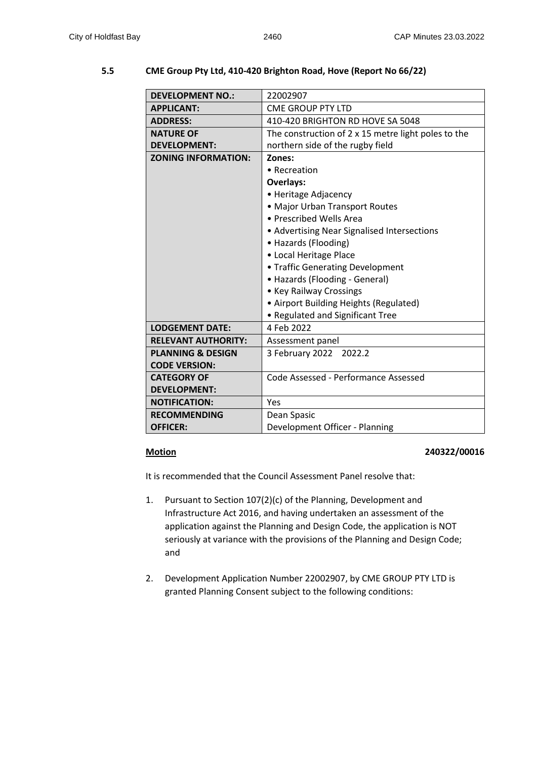# **5.5 CME Group Pty Ltd, 410-420 Brighton Road, Hove (Report No 66/22)**

| <b>DEVELOPMENT NO.:</b>      | 22002907                                                   |  |  |  |  |
|------------------------------|------------------------------------------------------------|--|--|--|--|
| <b>APPLICANT:</b>            | <b>CME GROUP PTY LTD</b>                                   |  |  |  |  |
| <b>ADDRESS:</b>              | 410-420 BRIGHTON RD HOVE SA 5048                           |  |  |  |  |
| <b>NATURE OF</b>             | The construction of $2 \times 15$ metre light poles to the |  |  |  |  |
| <b>DEVELOPMENT:</b>          | northern side of the rugby field                           |  |  |  |  |
| <b>ZONING INFORMATION:</b>   | Zones:                                                     |  |  |  |  |
|                              | • Recreation                                               |  |  |  |  |
|                              | <b>Overlays:</b>                                           |  |  |  |  |
|                              | • Heritage Adjacency                                       |  |  |  |  |
|                              | • Major Urban Transport Routes                             |  |  |  |  |
|                              | • Prescribed Wells Area                                    |  |  |  |  |
|                              | • Advertising Near Signalised Intersections                |  |  |  |  |
|                              | • Hazards (Flooding)                                       |  |  |  |  |
|                              | • Local Heritage Place                                     |  |  |  |  |
|                              | • Traffic Generating Development                           |  |  |  |  |
|                              | • Hazards (Flooding - General)                             |  |  |  |  |
|                              | • Key Railway Crossings                                    |  |  |  |  |
|                              | • Airport Building Heights (Regulated)                     |  |  |  |  |
|                              | • Regulated and Significant Tree                           |  |  |  |  |
| <b>LODGEMENT DATE:</b>       | 4 Feb 2022                                                 |  |  |  |  |
| <b>RELEVANT AUTHORITY:</b>   | Assessment panel                                           |  |  |  |  |
| <b>PLANNING &amp; DESIGN</b> | 3 February 2022 2022.2                                     |  |  |  |  |
| <b>CODE VERSION:</b>         |                                                            |  |  |  |  |
| <b>CATEGORY OF</b>           | Code Assessed - Performance Assessed                       |  |  |  |  |
| <b>DEVELOPMENT:</b>          |                                                            |  |  |  |  |
| <b>NOTIFICATION:</b>         | Yes                                                        |  |  |  |  |
| <b>RECOMMENDING</b>          | Dean Spasic                                                |  |  |  |  |
| <b>OFFICER:</b>              | Development Officer - Planning                             |  |  |  |  |

### **Motion 240322/00016**

It is recommended that the Council Assessment Panel resolve that:

- 1. Pursuant to Section 107(2)(c) of the Planning, Development and Infrastructure Act 2016, and having undertaken an assessment of the application against the Planning and Design Code, the application is NOT seriously at variance with the provisions of the Planning and Design Code; and
- 2. Development Application Number 22002907, by CME GROUP PTY LTD is granted Planning Consent subject to the following conditions: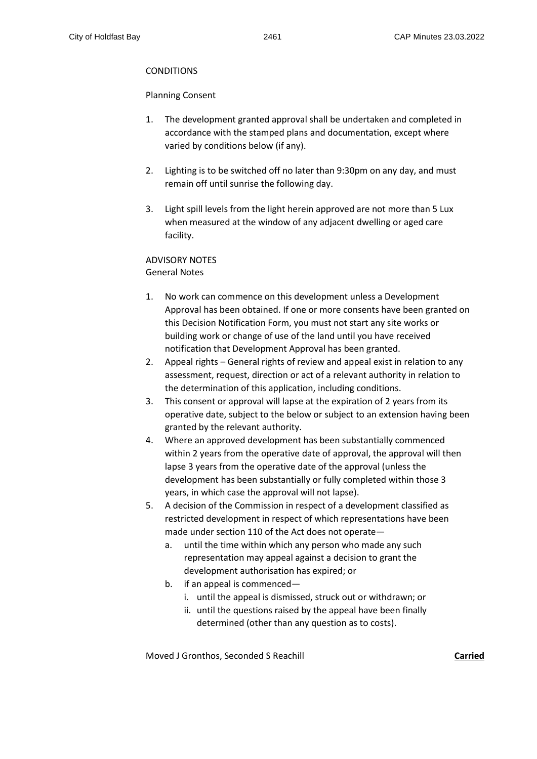# **CONDITIONS**

### Planning Consent

- 1. The development granted approval shall be undertaken and completed in accordance with the stamped plans and documentation, except where varied by conditions below (if any).
- 2. Lighting is to be switched off no later than 9:30pm on any day, and must remain off until sunrise the following day.
- 3. Light spill levels from the light herein approved are not more than 5 Lux when measured at the window of any adjacent dwelling or aged care facility.

# ADVISORY NOTES General Notes

- 1. No work can commence on this development unless a Development Approval has been obtained. If one or more consents have been granted on this Decision Notification Form, you must not start any site works or building work or change of use of the land until you have received notification that Development Approval has been granted.
- 2. Appeal rights General rights of review and appeal exist in relation to any assessment, request, direction or act of a relevant authority in relation to the determination of this application, including conditions.
- 3. This consent or approval will lapse at the expiration of 2 years from its operative date, subject to the below or subject to an extension having been granted by the relevant authority.
- 4. Where an approved development has been substantially commenced within 2 years from the operative date of approval, the approval will then lapse 3 years from the operative date of the approval (unless the development has been substantially or fully completed within those 3 years, in which case the approval will not lapse).
- 5. A decision of the Commission in respect of a development classified as restricted development in respect of which representations have been made under section 110 of the Act does not operate
	- a. until the time within which any person who made any such representation may appeal against a decision to grant the development authorisation has expired; or
	- b. if an appeal is commenced
		- i. until the appeal is dismissed, struck out or withdrawn; or
		- ii. until the questions raised by the appeal have been finally determined (other than any question as to costs).

Moved J Gronthos, Seconded S Reachill **Carried**